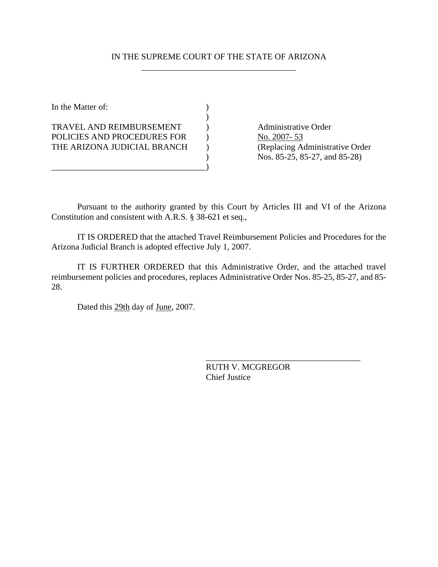## IN THE SUPREME COURT OF THE STATE OF ARIZONA \_\_\_\_\_\_\_\_\_\_\_\_\_\_\_\_\_\_\_\_\_\_\_\_\_\_\_\_\_\_\_\_\_\_\_\_

In the Matter of:  $\qquad \qquad$  )  $)$ TRAVEL AND REIMBURSEMENT (a) Administrative Order POLICIES AND PROCEDURES FOR ) No. 2007-53 THE ARIZONA JUDICIAL BRANCH ) (Replacing Administrative Order \_\_\_\_\_\_\_\_\_\_\_\_\_\_\_\_\_\_\_\_\_\_\_\_\_\_\_\_\_\_\_\_\_\_\_\_)

) Nos. 85-25, 85-27, and 85-28)

Pursuant to the authority granted by this Court by Articles III and VI of the Arizona Constitution and consistent with A.R.S. § 38-621 et seq.,

IT IS ORDERED that the attached Travel Reimbursement Policies and Procedures for the Arizona Judicial Branch is adopted effective July 1, 2007.

IT IS FURTHER ORDERED that this Administrative Order, and the attached travel reimbursement policies and procedures, replaces Administrative Order Nos. 85-25, 85-27, and 85- 28.

Dated this 29th day of June, 2007.

RUTH V. MCGREGOR Chief Justice

\_\_\_\_\_\_\_\_\_\_\_\_\_\_\_\_\_\_\_\_\_\_\_\_\_\_\_\_\_\_\_\_\_\_\_\_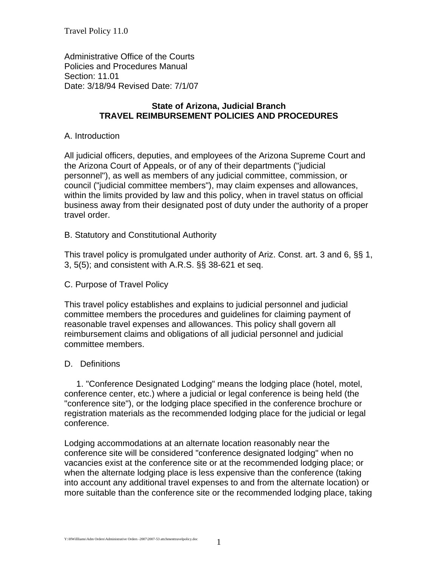Travel Policy 11.0

Administrative Office of the Courts Policies and Procedures Manual Section: 11.01 Date: 3/18/94 Revised Date: 7/1/07

## **State of Arizona, Judicial Branch TRAVEL REIMBURSEMENT POLICIES AND PROCEDURES**

## A. Introduction

All judicial officers, deputies, and employees of the Arizona Supreme Court and the Arizona Court of Appeals, or of any of their departments ("judicial personnel"), as well as members of any judicial committee, commission, or council ("judicial committee members"), may claim expenses and allowances, within the limits provided by law and this policy, when in travel status on official business away from their designated post of duty under the authority of a proper travel order.

B. Statutory and Constitutional Authority

This travel policy is promulgated under authority of Ariz. Const. art. 3 and 6, §§ 1, 3, 5(5); and consistent with A.R.S. §§ 38-621 et seq.

#### C. Purpose of Travel Policy

This travel policy establishes and explains to judicial personnel and judicial committee members the procedures and guidelines for claiming payment of reasonable travel expenses and allowances. This policy shall govern all reimbursement claims and obligations of all judicial personnel and judicial committee members.

#### D. Definitions

 1. "Conference Designated Lodging" means the lodging place (hotel, motel, conference center, etc.) where a judicial or legal conference is being held (the "conference site"), or the lodging place specified in the conference brochure or registration materials as the recommended lodging place for the judicial or legal conference.

Lodging accommodations at an alternate location reasonably near the conference site will be considered "conference designated lodging" when no vacancies exist at the conference site or at the recommended lodging place; or when the alternate lodging place is less expensive than the conference (taking into account any additional travel expenses to and from the alternate location) or more suitable than the conference site or the recommended lodging place, taking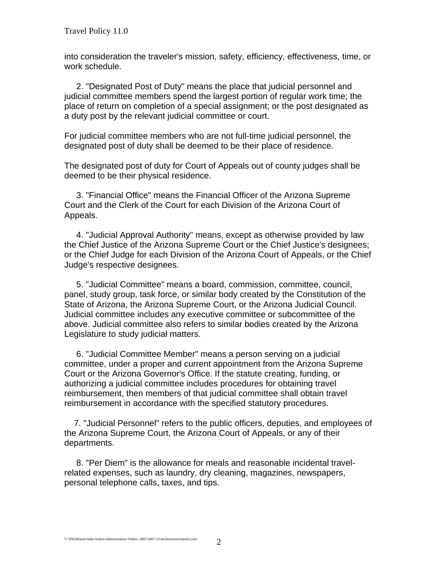into consideration the traveler's mission, safety, efficiency, effectiveness, time, or work schedule.

 2. "Designated Post of Duty" means the place that judicial personnel and judicial committee members spend the largest portion of regular work time; the place of return on completion of a special assignment; or the post designated as a duty post by the relevant judicial committee or court.

For judicial committee members who are not full-time judicial personnel, the designated post of duty shall be deemed to be their place of residence.

The designated post of duty for Court of Appeals out of county judges shall be deemed to be their physical residence.

 3. "Financial Office" means the Financial Officer of the Arizona Supreme Court and the Clerk of the Court for each Division of the Arizona Court of Appeals.

 4. "Judicial Approval Authority" means, except as otherwise provided by law the Chief Justice of the Arizona Supreme Court or the Chief Justice's designees; or the Chief Judge for each Division of the Arizona Court of Appeals, or the Chief Judge's respective designees.

 5. "Judicial Committee" means a board, commission, committee, council, panel, study group, task force, or similar body created by the Constitution of the State of Arizona, the Arizona Supreme Court, or the Arizona Judicial Council. Judicial committee includes any executive committee or subcommittee of the above. Judicial committee also refers to similar bodies created by the Arizona Legislature to study judicial matters.

 6. "Judicial Committee Member" means a person serving on a judicial committee, under a proper and current appointment from the Arizona Supreme Court or the Arizona Governor's Office. If the statute creating, funding, or authorizing a judicial committee includes procedures for obtaining travel reimbursement, then members of that judicial committee shall obtain travel reimbursement in accordance with the specified statutory procedures.

 7. "Judicial Personnel" refers to the public officers, deputies, and employees of the Arizona Supreme Court, the Arizona Court of Appeals, or any of their departments.

 8. "Per Diem" is the allowance for meals and reasonable incidental travelrelated expenses, such as laundry, dry cleaning, magazines, newspapers, personal telephone calls, taxes, and tips.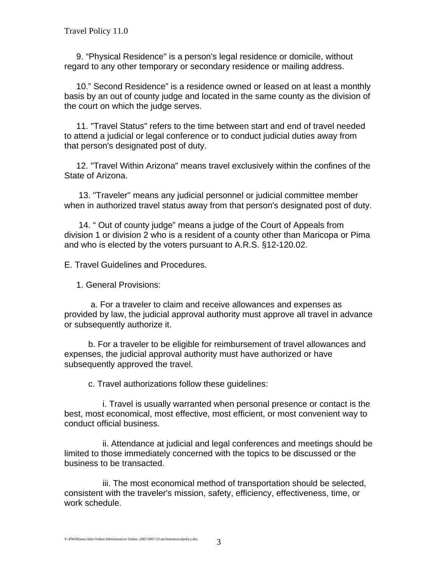9. "Physical Residence" is a person's legal residence or domicile, without regard to any other temporary or secondary residence or mailing address.

 10." Second Residence" is a residence owned or leased on at least a monthly basis by an out of county judge and located in the same county as the division of the court on which the judge serves.

 11. "Travel Status" refers to the time between start and end of travel needed to attend a judicial or legal conference or to conduct judicial duties away from that person's designated post of duty.

 12. "Travel Within Arizona" means travel exclusively within the confines of the State of Arizona.

 13. "Traveler" means any judicial personnel or judicial committee member when in authorized travel status away from that person's designated post of duty.

 14. " Out of county judge" means a judge of the Court of Appeals from division 1 or division 2 who is a resident of a county other than Maricopa or Pima and who is elected by the voters pursuant to A.R.S. §12-120.02.

E. Travel Guidelines and Procedures.

1. General Provisions:

 a. For a traveler to claim and receive allowances and expenses as provided by law, the judicial approval authority must approve all travel in advance or subsequently authorize it.

 b. For a traveler to be eligible for reimbursement of travel allowances and expenses, the judicial approval authority must have authorized or have subsequently approved the travel.

c. Travel authorizations follow these guidelines:

 i. Travel is usually warranted when personal presence or contact is the best, most economical, most effective, most efficient, or most convenient way to conduct official business.

 ii. Attendance at judicial and legal conferences and meetings should be limited to those immediately concerned with the topics to be discussed or the business to be transacted.

 iii. The most economical method of transportation should be selected, consistent with the traveler's mission, safety, efficiency, effectiveness, time, or work schedule.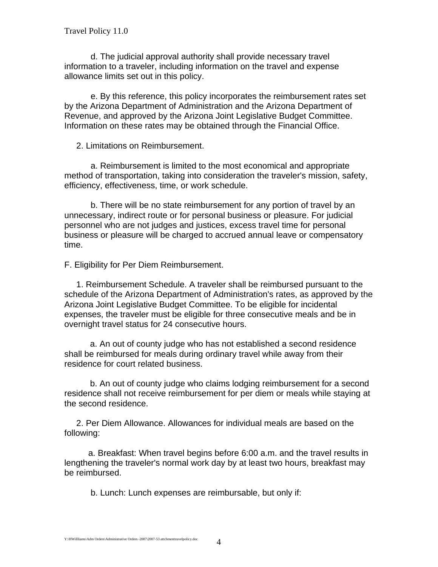d. The judicial approval authority shall provide necessary travel information to a traveler, including information on the travel and expense allowance limits set out in this policy.

 e. By this reference, this policy incorporates the reimbursement rates set by the Arizona Department of Administration and the Arizona Department of Revenue, and approved by the Arizona Joint Legislative Budget Committee. Information on these rates may be obtained through the Financial Office.

2. Limitations on Reimbursement.

 a. Reimbursement is limited to the most economical and appropriate method of transportation, taking into consideration the traveler's mission, safety, efficiency, effectiveness, time, or work schedule.

 b. There will be no state reimbursement for any portion of travel by an unnecessary, indirect route or for personal business or pleasure. For judicial personnel who are not judges and justices, excess travel time for personal business or pleasure will be charged to accrued annual leave or compensatory time.

F. Eligibility for Per Diem Reimbursement.

 1. Reimbursement Schedule. A traveler shall be reimbursed pursuant to the schedule of the Arizona Department of Administration's rates, as approved by the Arizona Joint Legislative Budget Committee. To be eligible for incidental expenses, the traveler must be eligible for three consecutive meals and be in overnight travel status for 24 consecutive hours.

 a. An out of county judge who has not established a second residence shall be reimbursed for meals during ordinary travel while away from their residence for court related business.

 b. An out of county judge who claims lodging reimbursement for a second residence shall not receive reimbursement for per diem or meals while staying at the second residence.

 2. Per Diem Allowance. Allowances for individual meals are based on the following:

 a. Breakfast: When travel begins before 6:00 a.m. and the travel results in lengthening the traveler's normal work day by at least two hours, breakfast may be reimbursed.

b. Lunch: Lunch expenses are reimbursable, but only if: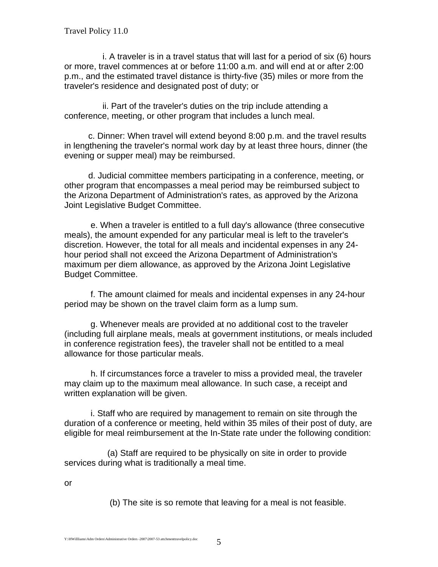i. A traveler is in a travel status that will last for a period of six (6) hours or more, travel commences at or before 11:00 a.m. and will end at or after 2:00 p.m., and the estimated travel distance is thirty-five (35) miles or more from the traveler's residence and designated post of duty; or

 ii. Part of the traveler's duties on the trip include attending a conference, meeting, or other program that includes a lunch meal.

 c. Dinner: When travel will extend beyond 8:00 p.m. and the travel results in lengthening the traveler's normal work day by at least three hours, dinner (the evening or supper meal) may be reimbursed.

 d. Judicial committee members participating in a conference, meeting, or other program that encompasses a meal period may be reimbursed subject to the Arizona Department of Administration's rates, as approved by the Arizona Joint Legislative Budget Committee.

 e. When a traveler is entitled to a full day's allowance (three consecutive meals), the amount expended for any particular meal is left to the traveler's discretion. However, the total for all meals and incidental expenses in any 24 hour period shall not exceed the Arizona Department of Administration's maximum per diem allowance, as approved by the Arizona Joint Legislative Budget Committee.

 f. The amount claimed for meals and incidental expenses in any 24-hour period may be shown on the travel claim form as a lump sum.

 g. Whenever meals are provided at no additional cost to the traveler (including full airplane meals, meals at government institutions, or meals included in conference registration fees), the traveler shall not be entitled to a meal allowance for those particular meals.

 h. If circumstances force a traveler to miss a provided meal, the traveler may claim up to the maximum meal allowance. In such case, a receipt and written explanation will be given.

 i. Staff who are required by management to remain on site through the duration of a conference or meeting, held within 35 miles of their post of duty, are eligible for meal reimbursement at the In-State rate under the following condition:

 (a) Staff are required to be physically on site in order to provide services during what is traditionally a meal time.

or

(b) The site is so remote that leaving for a meal is not feasible.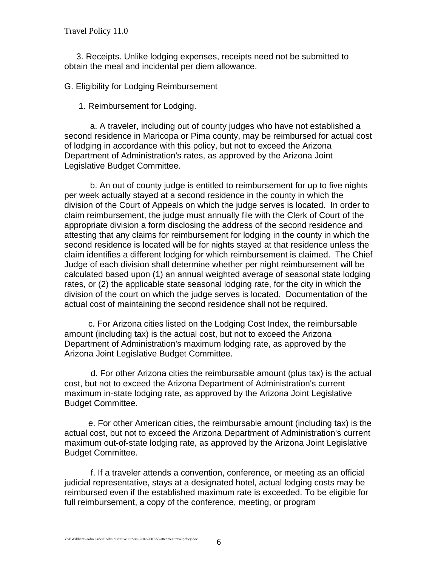Travel Policy 11.0

 3. Receipts. Unlike lodging expenses, receipts need not be submitted to obtain the meal and incidental per diem allowance.

G. Eligibility for Lodging Reimbursement

1. Reimbursement for Lodging.

a. A traveler, including out of county judges who have not established a second residence in Maricopa or Pima county, may be reimbursed for actual cost of lodging in accordance with this policy, but not to exceed the Arizona Department of Administration's rates, as approved by the Arizona Joint Legislative Budget Committee.

b. An out of county judge is entitled to reimbursement for up to five nights per week actually stayed at a second residence in the county in which the division of the Court of Appeals on which the judge serves is located. In order to claim reimbursement, the judge must annually file with the Clerk of Court of the appropriate division a form disclosing the address of the second residence and attesting that any claims for reimbursement for lodging in the county in which the second residence is located will be for nights stayed at that residence unless the claim identifies a different lodging for which reimbursement is claimed. The Chief Judge of each division shall determine whether per night reimbursement will be calculated based upon (1) an annual weighted average of seasonal state lodging rates, or (2) the applicable state seasonal lodging rate, for the city in which the division of the court on which the judge serves is located. Documentation of the actual cost of maintaining the second residence shall not be required.

 c. For Arizona cities listed on the Lodging Cost Index, the reimbursable amount (including tax) is the actual cost, but not to exceed the Arizona Department of Administration's maximum lodging rate, as approved by the Arizona Joint Legislative Budget Committee.

 d. For other Arizona cities the reimbursable amount (plus tax) is the actual cost, but not to exceed the Arizona Department of Administration's current maximum in-state lodging rate, as approved by the Arizona Joint Legislative Budget Committee.

 e. For other American cities, the reimbursable amount (including tax) is the actual cost, but not to exceed the Arizona Department of Administration's current maximum out-of-state lodging rate, as approved by the Arizona Joint Legislative Budget Committee.

 f. If a traveler attends a convention, conference, or meeting as an official judicial representative, stays at a designated hotel, actual lodging costs may be reimbursed even if the established maximum rate is exceeded. To be eligible for full reimbursement, a copy of the conference, meeting, or program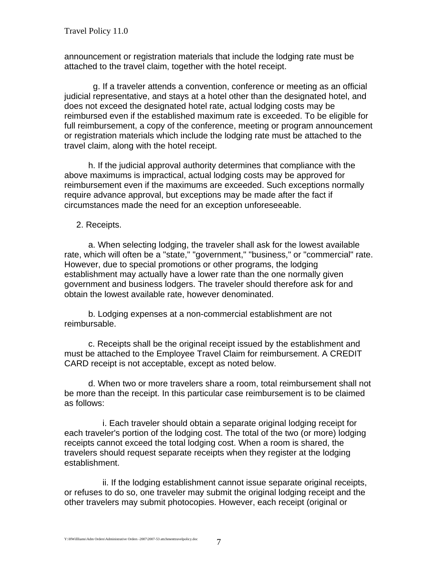announcement or registration materials that include the lodging rate must be attached to the travel claim, together with the hotel receipt.

 g. If a traveler attends a convention, conference or meeting as an official judicial representative, and stays at a hotel other than the designated hotel, and does not exceed the designated hotel rate, actual lodging costs may be reimbursed even if the established maximum rate is exceeded. To be eligible for full reimbursement, a copy of the conference, meeting or program announcement or registration materials which include the lodging rate must be attached to the travel claim, along with the hotel receipt.

 h. If the judicial approval authority determines that compliance with the above maximums is impractical, actual lodging costs may be approved for reimbursement even if the maximums are exceeded. Such exceptions normally require advance approval, but exceptions may be made after the fact if circumstances made the need for an exception unforeseeable.

2. Receipts.

 a. When selecting lodging, the traveler shall ask for the lowest available rate, which will often be a "state," "government," "business," or "commercial" rate. However, due to special promotions or other programs, the lodging establishment may actually have a lower rate than the one normally given government and business lodgers. The traveler should therefore ask for and obtain the lowest available rate, however denominated.

 b. Lodging expenses at a non-commercial establishment are not reimbursable.

 c. Receipts shall be the original receipt issued by the establishment and must be attached to the Employee Travel Claim for reimbursement. A CREDIT CARD receipt is not acceptable, except as noted below.

 d. When two or more travelers share a room, total reimbursement shall not be more than the receipt. In this particular case reimbursement is to be claimed as follows:

 i. Each traveler should obtain a separate original lodging receipt for each traveler's portion of the lodging cost. The total of the two (or more) lodging receipts cannot exceed the total lodging cost. When a room is shared, the travelers should request separate receipts when they register at the lodging establishment.

 ii. If the lodging establishment cannot issue separate original receipts, or refuses to do so, one traveler may submit the original lodging receipt and the other travelers may submit photocopies. However, each receipt (original or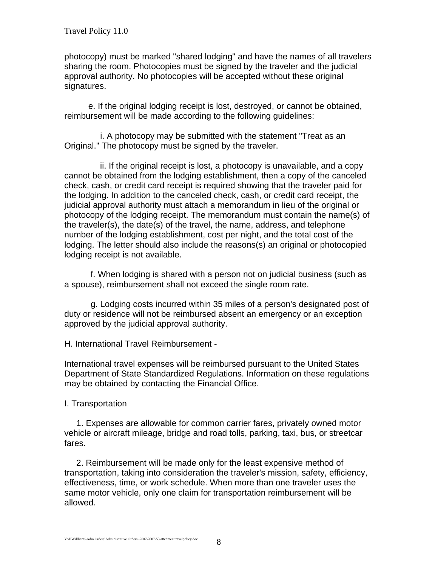photocopy) must be marked "shared lodging" and have the names of all travelers sharing the room. Photocopies must be signed by the traveler and the judicial approval authority. No photocopies will be accepted without these original signatures.

 e. If the original lodging receipt is lost, destroyed, or cannot be obtained, reimbursement will be made according to the following guidelines:

 i. A photocopy may be submitted with the statement "Treat as an Original." The photocopy must be signed by the traveler.

 ii. If the original receipt is lost, a photocopy is unavailable, and a copy cannot be obtained from the lodging establishment, then a copy of the canceled check, cash, or credit card receipt is required showing that the traveler paid for the lodging. In addition to the canceled check, cash, or credit card receipt, the judicial approval authority must attach a memorandum in lieu of the original or photocopy of the lodging receipt. The memorandum must contain the name(s) of the traveler(s), the date(s) of the travel, the name, address, and telephone number of the lodging establishment, cost per night, and the total cost of the lodging. The letter should also include the reasons(s) an original or photocopied lodging receipt is not available.

 f. When lodging is shared with a person not on judicial business (such as a spouse), reimbursement shall not exceed the single room rate.

 g. Lodging costs incurred within 35 miles of a person's designated post of duty or residence will not be reimbursed absent an emergency or an exception approved by the judicial approval authority.

H. International Travel Reimbursement -

International travel expenses will be reimbursed pursuant to the United States Department of State Standardized Regulations. Information on these regulations may be obtained by contacting the Financial Office.

I. Transportation

 1. Expenses are allowable for common carrier fares, privately owned motor vehicle or aircraft mileage, bridge and road tolls, parking, taxi, bus, or streetcar fares.

 2. Reimbursement will be made only for the least expensive method of transportation, taking into consideration the traveler's mission, safety, efficiency, effectiveness, time, or work schedule. When more than one traveler uses the same motor vehicle, only one claim for transportation reimbursement will be allowed.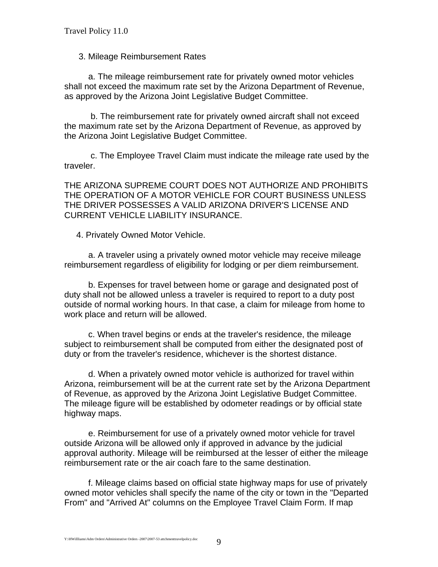## 3. Mileage Reimbursement Rates

 a. The mileage reimbursement rate for privately owned motor vehicles shall not exceed the maximum rate set by the Arizona Department of Revenue, as approved by the Arizona Joint Legislative Budget Committee.

 b. The reimbursement rate for privately owned aircraft shall not exceed the maximum rate set by the Arizona Department of Revenue, as approved by the Arizona Joint Legislative Budget Committee.

 c. The Employee Travel Claim must indicate the mileage rate used by the traveler.

THE ARIZONA SUPREME COURT DOES NOT AUTHORIZE AND PROHIBITS THE OPERATION OF A MOTOR VEHICLE FOR COURT BUSINESS UNLESS THE DRIVER POSSESSES A VALID ARIZONA DRIVER'S LICENSE AND CURRENT VEHICLE LIABILITY INSURANCE.

4. Privately Owned Motor Vehicle.

 a. A traveler using a privately owned motor vehicle may receive mileage reimbursement regardless of eligibility for lodging or per diem reimbursement.

 b. Expenses for travel between home or garage and designated post of duty shall not be allowed unless a traveler is required to report to a duty post outside of normal working hours. In that case, a claim for mileage from home to work place and return will be allowed.

 c. When travel begins or ends at the traveler's residence, the mileage subject to reimbursement shall be computed from either the designated post of duty or from the traveler's residence, whichever is the shortest distance.

 d. When a privately owned motor vehicle is authorized for travel within Arizona, reimbursement will be at the current rate set by the Arizona Department of Revenue, as approved by the Arizona Joint Legislative Budget Committee. The mileage figure will be established by odometer readings or by official state highway maps.

 e. Reimbursement for use of a privately owned motor vehicle for travel outside Arizona will be allowed only if approved in advance by the judicial approval authority. Mileage will be reimbursed at the lesser of either the mileage reimbursement rate or the air coach fare to the same destination.

 f. Mileage claims based on official state highway maps for use of privately owned motor vehicles shall specify the name of the city or town in the "Departed From" and "Arrived At" columns on the Employee Travel Claim Form. If map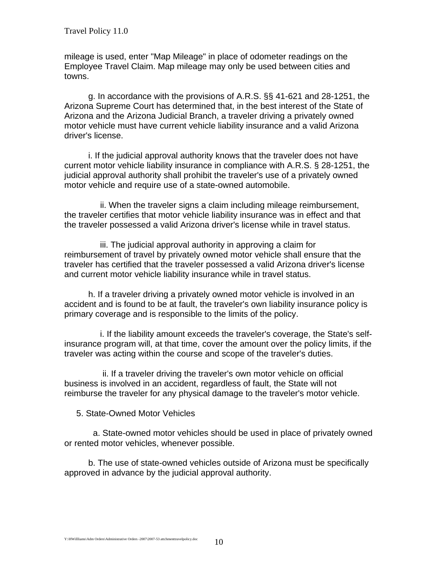mileage is used, enter "Map Mileage" in place of odometer readings on the Employee Travel Claim. Map mileage may only be used between cities and towns.

 g. In accordance with the provisions of A.R.S. §§ 41-621 and 28-1251, the Arizona Supreme Court has determined that, in the best interest of the State of Arizona and the Arizona Judicial Branch, a traveler driving a privately owned motor vehicle must have current vehicle liability insurance and a valid Arizona driver's license.

 i. If the judicial approval authority knows that the traveler does not have current motor vehicle liability insurance in compliance with A.R.S. § 28-1251, the judicial approval authority shall prohibit the traveler's use of a privately owned motor vehicle and require use of a state-owned automobile.

 ii. When the traveler signs a claim including mileage reimbursement, the traveler certifies that motor vehicle liability insurance was in effect and that the traveler possessed a valid Arizona driver's license while in travel status.

 iii. The judicial approval authority in approving a claim for reimbursement of travel by privately owned motor vehicle shall ensure that the traveler has certified that the traveler possessed a valid Arizona driver's license and current motor vehicle liability insurance while in travel status.

 h. If a traveler driving a privately owned motor vehicle is involved in an accident and is found to be at fault, the traveler's own liability insurance policy is primary coverage and is responsible to the limits of the policy.

 i. If the liability amount exceeds the traveler's coverage, the State's selfinsurance program will, at that time, cover the amount over the policy limits, if the traveler was acting within the course and scope of the traveler's duties.

 ii. If a traveler driving the traveler's own motor vehicle on official business is involved in an accident, regardless of fault, the State will not reimburse the traveler for any physical damage to the traveler's motor vehicle.

5. State-Owned Motor Vehicles

 a. State-owned motor vehicles should be used in place of privately owned or rented motor vehicles, whenever possible.

 b. The use of state-owned vehicles outside of Arizona must be specifically approved in advance by the judicial approval authority.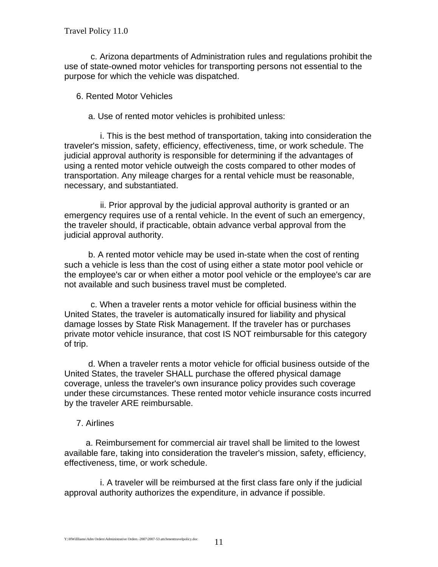c. Arizona departments of Administration rules and regulations prohibit the use of state-owned motor vehicles for transporting persons not essential to the purpose for which the vehicle was dispatched.

6. Rented Motor Vehicles

a. Use of rented motor vehicles is prohibited unless:

 i. This is the best method of transportation, taking into consideration the traveler's mission, safety, efficiency, effectiveness, time, or work schedule. The judicial approval authority is responsible for determining if the advantages of using a rented motor vehicle outweigh the costs compared to other modes of transportation. Any mileage charges for a rental vehicle must be reasonable, necessary, and substantiated.

 ii. Prior approval by the judicial approval authority is granted or an emergency requires use of a rental vehicle. In the event of such an emergency, the traveler should, if practicable, obtain advance verbal approval from the judicial approval authority.

 b. A rented motor vehicle may be used in-state when the cost of renting such a vehicle is less than the cost of using either a state motor pool vehicle or the employee's car or when either a motor pool vehicle or the employee's car are not available and such business travel must be completed.

 c. When a traveler rents a motor vehicle for official business within the United States, the traveler is automatically insured for liability and physical damage losses by State Risk Management. If the traveler has or purchases private motor vehicle insurance, that cost IS NOT reimbursable for this category of trip.

 d. When a traveler rents a motor vehicle for official business outside of the United States, the traveler SHALL purchase the offered physical damage coverage, unless the traveler's own insurance policy provides such coverage under these circumstances. These rented motor vehicle insurance costs incurred by the traveler ARE reimbursable.

# 7. Airlines

 a. Reimbursement for commercial air travel shall be limited to the lowest available fare, taking into consideration the traveler's mission, safety, efficiency, effectiveness, time, or work schedule.

 i. A traveler will be reimbursed at the first class fare only if the judicial approval authority authorizes the expenditure, in advance if possible.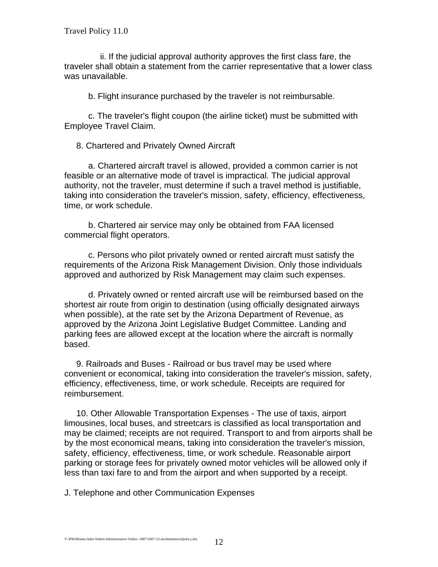ii. If the judicial approval authority approves the first class fare, the traveler shall obtain a statement from the carrier representative that a lower class was unavailable.

b. Flight insurance purchased by the traveler is not reimbursable.

 c. The traveler's flight coupon (the airline ticket) must be submitted with Employee Travel Claim.

8. Chartered and Privately Owned Aircraft

 a. Chartered aircraft travel is allowed, provided a common carrier is not feasible or an alternative mode of travel is impractical. The judicial approval authority, not the traveler, must determine if such a travel method is justifiable, taking into consideration the traveler's mission, safety, efficiency, effectiveness, time, or work schedule.

 b. Chartered air service may only be obtained from FAA licensed commercial flight operators.

 c. Persons who pilot privately owned or rented aircraft must satisfy the requirements of the Arizona Risk Management Division. Only those individuals approved and authorized by Risk Management may claim such expenses.

 d. Privately owned or rented aircraft use will be reimbursed based on the shortest air route from origin to destination (using officially designated airways when possible), at the rate set by the Arizona Department of Revenue, as approved by the Arizona Joint Legislative Budget Committee. Landing and parking fees are allowed except at the location where the aircraft is normally based.

 9. Railroads and Buses - Railroad or bus travel may be used where convenient or economical, taking into consideration the traveler's mission, safety, efficiency, effectiveness, time, or work schedule. Receipts are required for reimbursement.

 10. Other Allowable Transportation Expenses - The use of taxis, airport limousines, local buses, and streetcars is classified as local transportation and may be claimed; receipts are not required. Transport to and from airports shall be by the most economical means, taking into consideration the traveler's mission, safety, efficiency, effectiveness, time, or work schedule. Reasonable airport parking or storage fees for privately owned motor vehicles will be allowed only if less than taxi fare to and from the airport and when supported by a receipt.

J. Telephone and other Communication Expenses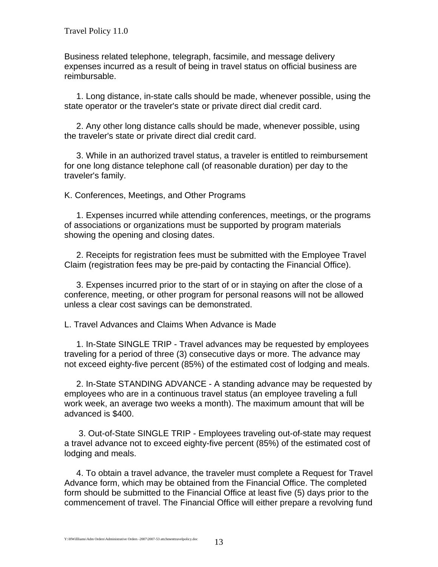Business related telephone, telegraph, facsimile, and message delivery expenses incurred as a result of being in travel status on official business are reimbursable.

 1. Long distance, in-state calls should be made, whenever possible, using the state operator or the traveler's state or private direct dial credit card.

 2. Any other long distance calls should be made, whenever possible, using the traveler's state or private direct dial credit card.

 3. While in an authorized travel status, a traveler is entitled to reimbursement for one long distance telephone call (of reasonable duration) per day to the traveler's family.

K. Conferences, Meetings, and Other Programs

 1. Expenses incurred while attending conferences, meetings, or the programs of associations or organizations must be supported by program materials showing the opening and closing dates.

 2. Receipts for registration fees must be submitted with the Employee Travel Claim (registration fees may be pre-paid by contacting the Financial Office).

 3. Expenses incurred prior to the start of or in staying on after the close of a conference, meeting, or other program for personal reasons will not be allowed unless a clear cost savings can be demonstrated.

L. Travel Advances and Claims When Advance is Made

 1. In-State SINGLE TRIP - Travel advances may be requested by employees traveling for a period of three (3) consecutive days or more. The advance may not exceed eighty-five percent (85%) of the estimated cost of lodging and meals.

 2. In-State STANDING ADVANCE - A standing advance may be requested by employees who are in a continuous travel status (an employee traveling a full work week, an average two weeks a month). The maximum amount that will be advanced is \$400.

 3. Out-of-State SINGLE TRIP - Employees traveling out-of-state may request a travel advance not to exceed eighty-five percent (85%) of the estimated cost of lodging and meals.

 4. To obtain a travel advance, the traveler must complete a Request for Travel Advance form, which may be obtained from the Financial Office. The completed form should be submitted to the Financial Office at least five (5) days prior to the commencement of travel. The Financial Office will either prepare a revolving fund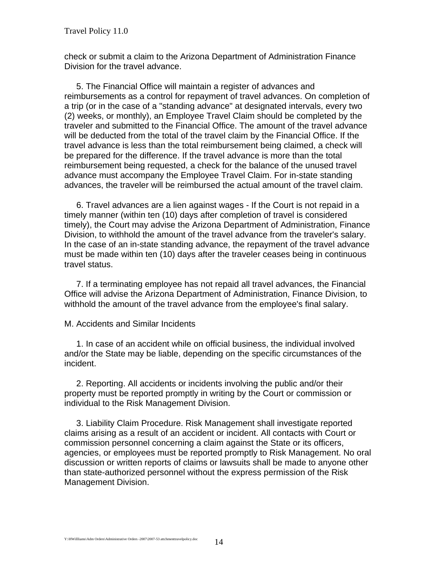check or submit a claim to the Arizona Department of Administration Finance Division for the travel advance.

 5. The Financial Office will maintain a register of advances and reimbursements as a control for repayment of travel advances. On completion of a trip (or in the case of a "standing advance" at designated intervals, every two (2) weeks, or monthly), an Employee Travel Claim should be completed by the traveler and submitted to the Financial Office. The amount of the travel advance will be deducted from the total of the travel claim by the Financial Office. If the travel advance is less than the total reimbursement being claimed, a check will be prepared for the difference. If the travel advance is more than the total reimbursement being requested, a check for the balance of the unused travel advance must accompany the Employee Travel Claim. For in-state standing advances, the traveler will be reimbursed the actual amount of the travel claim.

 6. Travel advances are a lien against wages - If the Court is not repaid in a timely manner (within ten (10) days after completion of travel is considered timely), the Court may advise the Arizona Department of Administration, Finance Division, to withhold the amount of the travel advance from the traveler's salary. In the case of an in-state standing advance, the repayment of the travel advance must be made within ten (10) days after the traveler ceases being in continuous travel status.

 7. If a terminating employee has not repaid all travel advances, the Financial Office will advise the Arizona Department of Administration, Finance Division, to withhold the amount of the travel advance from the employee's final salary.

M. Accidents and Similar Incidents

 1. In case of an accident while on official business, the individual involved and/or the State may be liable, depending on the specific circumstances of the incident.

 2. Reporting. All accidents or incidents involving the public and/or their property must be reported promptly in writing by the Court or commission or individual to the Risk Management Division.

 3. Liability Claim Procedure. Risk Management shall investigate reported claims arising as a result of an accident or incident. All contacts with Court or commission personnel concerning a claim against the State or its officers, agencies, or employees must be reported promptly to Risk Management. No oral discussion or written reports of claims or lawsuits shall be made to anyone other than state-authorized personnel without the express permission of the Risk Management Division.